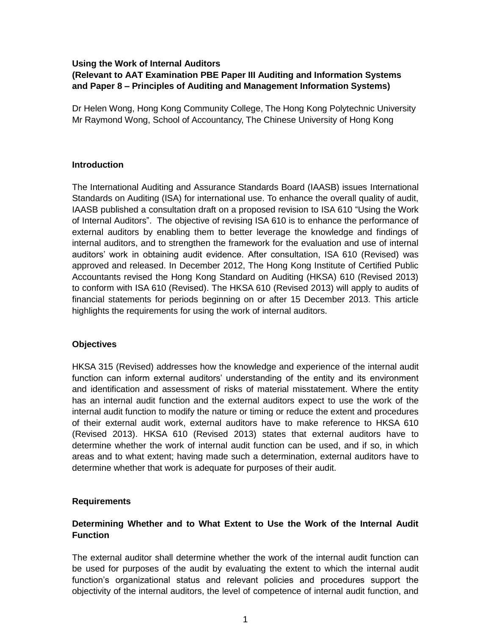#### **Using the Work of Internal Auditors (Relevant to AAT Examination PBE Paper III Auditing and Information Systems and Paper 8 – Principles of Auditing and Management Information Systems)**

Dr Helen Wong, Hong Kong Community College, The Hong Kong Polytechnic University Mr Raymond Wong, School of Accountancy, The Chinese University of Hong Kong

## **Introduction**

The International Auditing and Assurance Standards Board (IAASB) issues International Standards on Auditing (ISA) for international use. To enhance the overall quality of audit, IAASB published a consultation draft on a proposed revision to ISA 610 "Using the Work of Internal Auditors". The objective of revising ISA 610 is to enhance the performance of external auditors by enabling them to better leverage the knowledge and findings of internal auditors, and to strengthen the framework for the evaluation and use of internal auditors' work in obtaining audit evidence. After consultation, ISA 610 (Revised) was approved and released. In December 2012, The Hong Kong Institute of Certified Public Accountants revised the Hong Kong Standard on Auditing (HKSA) 610 (Revised 2013) to conform with ISA 610 (Revised). The HKSA 610 (Revised 2013) will apply to audits of financial statements for periods beginning on or after 15 December 2013. This article highlights the requirements for using the work of internal auditors.

### **Objectives**

HKSA 315 (Revised) addresses how the knowledge and experience of the internal audit function can inform external auditors' understanding of the entity and its environment and identification and assessment of risks of material misstatement. Where the entity has an internal audit function and the external auditors expect to use the work of the internal audit function to modify the nature or timing or reduce the extent and procedures of their external audit work, external auditors have to make reference to HKSA 610 (Revised 2013). HKSA 610 (Revised 2013) states that external auditors have to determine whether the work of internal audit function can be used, and if so, in which areas and to what extent; having made such a determination, external auditors have to determine whether that work is adequate for purposes of their audit.

### **Requirements**

# **Determining Whether and to What Extent to Use the Work of the Internal Audit Function**

The external auditor shall determine whether the work of the internal audit function can be used for purposes of the audit by evaluating the extent to which the internal audit function's organizational status and relevant policies and procedures support the objectivity of the internal auditors, the level of competence of internal audit function, and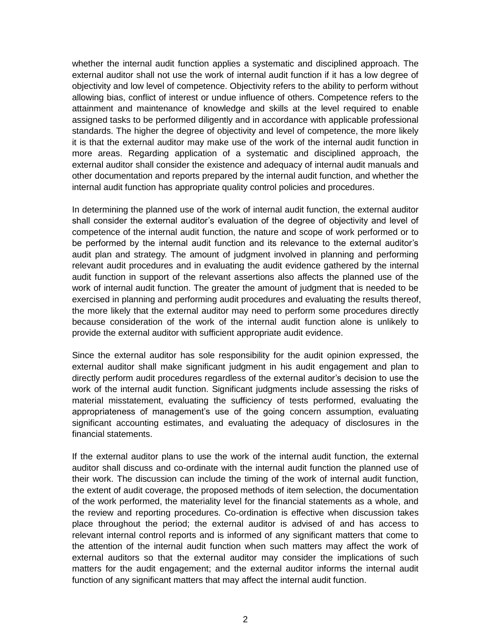whether the internal audit function applies a systematic and disciplined approach. The external auditor shall not use the work of internal audit function if it has a low degree of objectivity and low level of competence. Objectivity refers to the ability to perform without allowing bias, conflict of interest or undue influence of others. Competence refers to the attainment and maintenance of knowledge and skills at the level required to enable assigned tasks to be performed diligently and in accordance with applicable professional standards. The higher the degree of objectivity and level of competence, the more likely it is that the external auditor may make use of the work of the internal audit function in more areas. Regarding application of a systematic and disciplined approach, the external auditor shall consider the existence and adequacy of internal audit manuals and other documentation and reports prepared by the internal audit function, and whether the internal audit function has appropriate quality control policies and procedures.

In determining the planned use of the work of internal audit function, the external auditor shall consider the external auditor's evaluation of the degree of objectivity and level of competence of the internal audit function, the nature and scope of work performed or to be performed by the internal audit function and its relevance to the external auditor's audit plan and strategy. The amount of judgment involved in planning and performing relevant audit procedures and in evaluating the audit evidence gathered by the internal audit function in support of the relevant assertions also affects the planned use of the work of internal audit function. The greater the amount of judgment that is needed to be exercised in planning and performing audit procedures and evaluating the results thereof, the more likely that the external auditor may need to perform some procedures directly because consideration of the work of the internal audit function alone is unlikely to provide the external auditor with sufficient appropriate audit evidence.

Since the external auditor has sole responsibility for the audit opinion expressed, the external auditor shall make significant judgment in his audit engagement and plan to directly perform audit procedures regardless of the external auditor's decision to use the work of the internal audit function. Significant judgments include assessing the risks of material misstatement, evaluating the sufficiency of tests performed, evaluating the appropriateness of management's use of the going concern assumption, evaluating significant accounting estimates, and evaluating the adequacy of disclosures in the financial statements.

If the external auditor plans to use the work of the internal audit function, the external auditor shall discuss and co-ordinate with the internal audit function the planned use of their work. The discussion can include the timing of the work of internal audit function, the extent of audit coverage, the proposed methods of item selection, the documentation of the work performed, the materiality level for the financial statements as a whole, and the review and reporting procedures. Co-ordination is effective when discussion takes place throughout the period; the external auditor is advised of and has access to relevant internal control reports and is informed of any significant matters that come to the attention of the internal audit function when such matters may affect the work of external auditors so that the external auditor may consider the implications of such matters for the audit engagement; and the external auditor informs the internal audit function of any significant matters that may affect the internal audit function.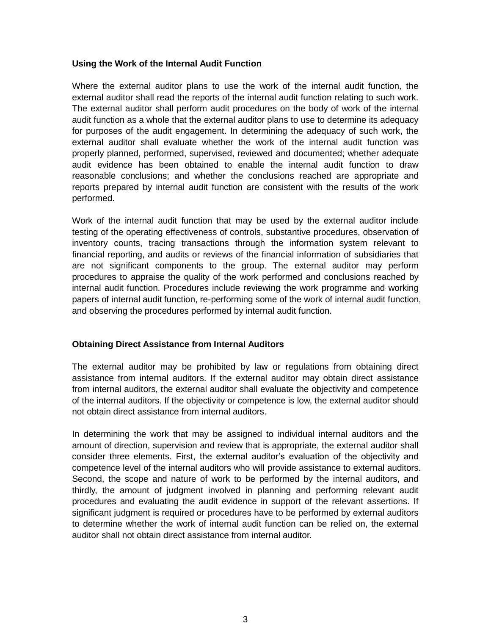### **Using the Work of the Internal Audit Function**

Where the external auditor plans to use the work of the internal audit function, the external auditor shall read the reports of the internal audit function relating to such work. The external auditor shall perform audit procedures on the body of work of the internal audit function as a whole that the external auditor plans to use to determine its adequacy for purposes of the audit engagement. In determining the adequacy of such work, the external auditor shall evaluate whether the work of the internal audit function was properly planned, performed, supervised, reviewed and documented; whether adequate audit evidence has been obtained to enable the internal audit function to draw reasonable conclusions; and whether the conclusions reached are appropriate and reports prepared by internal audit function are consistent with the results of the work performed.

Work of the internal audit function that may be used by the external auditor include testing of the operating effectiveness of controls, substantive procedures, observation of inventory counts, tracing transactions through the information system relevant to financial reporting, and audits or reviews of the financial information of subsidiaries that are not significant components to the group. The external auditor may perform procedures to appraise the quality of the work performed and conclusions reached by internal audit function. Procedures include reviewing the work programme and working papers of internal audit function, re-performing some of the work of internal audit function, and observing the procedures performed by internal audit function.

### **Obtaining Direct Assistance from Internal Auditors**

The external auditor may be prohibited by law or regulations from obtaining direct assistance from internal auditors. If the external auditor may obtain direct assistance from internal auditors, the external auditor shall evaluate the objectivity and competence of the internal auditors. If the objectivity or competence is low, the external auditor should not obtain direct assistance from internal auditors.

In determining the work that may be assigned to individual internal auditors and the amount of direction, supervision and review that is appropriate, the external auditor shall consider three elements. First, the external auditor's evaluation of the objectivity and competence level of the internal auditors who will provide assistance to external auditors. Second, the scope and nature of work to be performed by the internal auditors, and thirdly, the amount of judgment involved in planning and performing relevant audit procedures and evaluating the audit evidence in support of the relevant assertions. If significant judgment is required or procedures have to be performed by external auditors to determine whether the work of internal audit function can be relied on, the external auditor shall not obtain direct assistance from internal auditor.